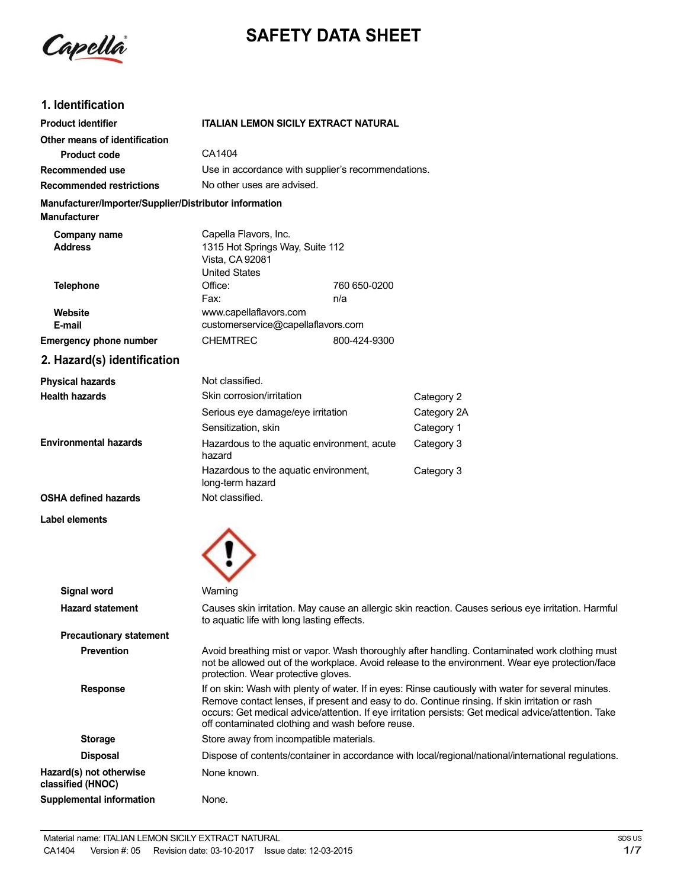Capella

## **SAFETY DATA SHEET**

## **1. Identification**

| <b>Product identifier</b>                                              | <b>ITALIAN LEMON SICILY EXTRACT NATURAL</b>                                                                                                                                                                                                                                                                                                                       |                                             |                                                                                                     |
|------------------------------------------------------------------------|-------------------------------------------------------------------------------------------------------------------------------------------------------------------------------------------------------------------------------------------------------------------------------------------------------------------------------------------------------------------|---------------------------------------------|-----------------------------------------------------------------------------------------------------|
| Other means of identification                                          |                                                                                                                                                                                                                                                                                                                                                                   |                                             |                                                                                                     |
| <b>Product code</b>                                                    | CA1404                                                                                                                                                                                                                                                                                                                                                            |                                             |                                                                                                     |
| Recommended use                                                        | Use in accordance with supplier's recommendations.                                                                                                                                                                                                                                                                                                                |                                             |                                                                                                     |
| <b>Recommended restrictions</b>                                        | No other uses are advised.                                                                                                                                                                                                                                                                                                                                        |                                             |                                                                                                     |
| Manufacturer/Importer/Supplier/Distributor information<br>Manufacturer |                                                                                                                                                                                                                                                                                                                                                                   |                                             |                                                                                                     |
| Company name<br><b>Address</b>                                         | Capella Flavors, Inc.<br>1315 Hot Springs Way, Suite 112<br>Vista, CA 92081<br><b>United States</b>                                                                                                                                                                                                                                                               |                                             |                                                                                                     |
| <b>Telephone</b>                                                       | Office:<br>Fax:                                                                                                                                                                                                                                                                                                                                                   | 760 650-0200<br>n/a                         |                                                                                                     |
| Website<br>E-mail                                                      | www.capellaflavors.com<br>customerservice@capellaflavors.com                                                                                                                                                                                                                                                                                                      |                                             |                                                                                                     |
| <b>Emergency phone number</b>                                          | <b>CHEMTREC</b>                                                                                                                                                                                                                                                                                                                                                   | 800-424-9300                                |                                                                                                     |
| 2. Hazard(s) identification                                            |                                                                                                                                                                                                                                                                                                                                                                   |                                             |                                                                                                     |
| <b>Physical hazards</b>                                                | Not classified.                                                                                                                                                                                                                                                                                                                                                   |                                             |                                                                                                     |
| <b>Health hazards</b>                                                  | Skin corrosion/irritation                                                                                                                                                                                                                                                                                                                                         |                                             | Category 2                                                                                          |
|                                                                        | Serious eye damage/eye irritation                                                                                                                                                                                                                                                                                                                                 |                                             | Category 2A                                                                                         |
|                                                                        | Sensitization, skin                                                                                                                                                                                                                                                                                                                                               |                                             | Category 1                                                                                          |
| <b>Environmental hazards</b>                                           | hazard                                                                                                                                                                                                                                                                                                                                                            | Hazardous to the aquatic environment, acute | Category 3                                                                                          |
|                                                                        | Hazardous to the aquatic environment,<br>long-term hazard                                                                                                                                                                                                                                                                                                         |                                             | Category 3                                                                                          |
| <b>OSHA defined hazards</b>                                            | Not classified.                                                                                                                                                                                                                                                                                                                                                   |                                             |                                                                                                     |
| <b>Label elements</b>                                                  |                                                                                                                                                                                                                                                                                                                                                                   |                                             |                                                                                                     |
|                                                                        |                                                                                                                                                                                                                                                                                                                                                                   |                                             |                                                                                                     |
| <b>Signal word</b>                                                     | Warning                                                                                                                                                                                                                                                                                                                                                           |                                             |                                                                                                     |
| <b>Hazard statement</b>                                                | Causes skin irritation. May cause an allergic skin reaction. Causes serious eye irritation. Harmful<br>to aquatic life with long lasting effects.                                                                                                                                                                                                                 |                                             |                                                                                                     |
| <b>Precautionary statement</b>                                         |                                                                                                                                                                                                                                                                                                                                                                   |                                             |                                                                                                     |
| <b>Prevention</b>                                                      | Avoid breathing mist or vapor. Wash thoroughly after handling. Contaminated work clothing must<br>not be allowed out of the workplace. Avoid release to the environment. Wear eye protection/face<br>protection. Wear protective gloves.                                                                                                                          |                                             |                                                                                                     |
| <b>Response</b>                                                        | If on skin: Wash with plenty of water. If in eyes: Rinse cautiously with water for several minutes.<br>Remove contact lenses, if present and easy to do. Continue rinsing. If skin irritation or rash<br>occurs: Get medical advice/attention. If eye irritation persists: Get medical advice/attention. Take<br>off contaminated clothing and wash before reuse. |                                             |                                                                                                     |
| <b>Storage</b>                                                         | Store away from incompatible materials.                                                                                                                                                                                                                                                                                                                           |                                             |                                                                                                     |
| <b>Disposal</b>                                                        |                                                                                                                                                                                                                                                                                                                                                                   |                                             | Dispose of contents/container in accordance with local/regional/national/international regulations. |
| Hazard(s) not otherwise<br>classified (HNOC)                           | None known.                                                                                                                                                                                                                                                                                                                                                       |                                             |                                                                                                     |
| <b>Supplemental information</b>                                        | None.                                                                                                                                                                                                                                                                                                                                                             |                                             |                                                                                                     |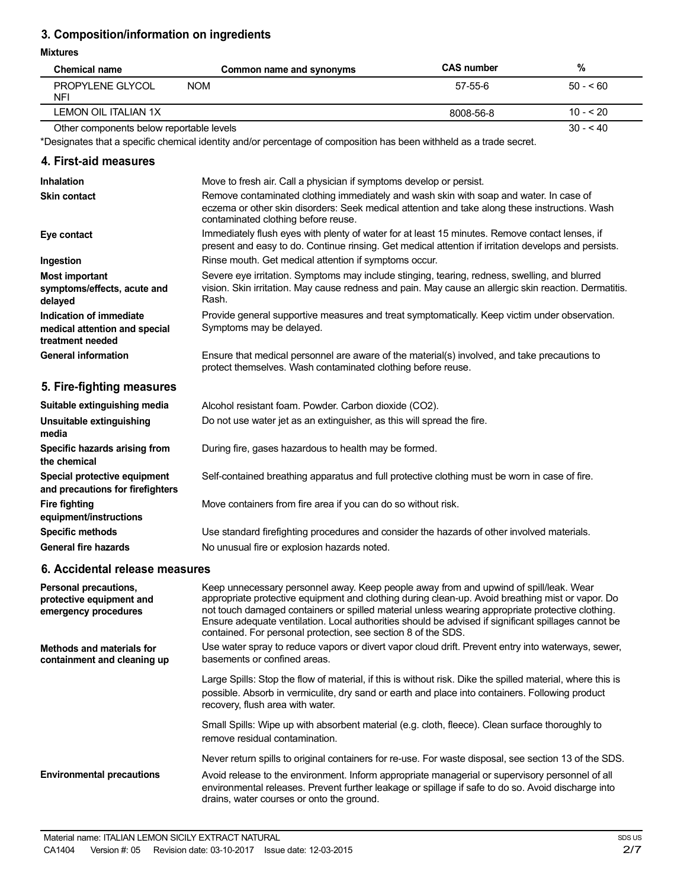## **3. Composition/information on ingredients**

## **Mixtures**

| MIXUUTES                                                                     |                                                                                                                                                                                                                                                                                                                                                                                                                                                                       |                   |           |
|------------------------------------------------------------------------------|-----------------------------------------------------------------------------------------------------------------------------------------------------------------------------------------------------------------------------------------------------------------------------------------------------------------------------------------------------------------------------------------------------------------------------------------------------------------------|-------------------|-----------|
| <b>Chemical name</b>                                                         | Common name and synonyms                                                                                                                                                                                                                                                                                                                                                                                                                                              | <b>CAS number</b> | %         |
| PROPYLENE GLYCOL<br><b>NFI</b>                                               | <b>NOM</b>                                                                                                                                                                                                                                                                                                                                                                                                                                                            | 57-55-6           | $50 - 60$ |
| LEMON OIL ITALIAN 1X                                                         |                                                                                                                                                                                                                                                                                                                                                                                                                                                                       | 8008-56-8         | $10 - 20$ |
| Other components below reportable levels                                     |                                                                                                                                                                                                                                                                                                                                                                                                                                                                       |                   | $30 - 40$ |
|                                                                              | *Designates that a specific chemical identity and/or percentage of composition has been withheld as a trade secret.                                                                                                                                                                                                                                                                                                                                                   |                   |           |
| 4. First-aid measures                                                        |                                                                                                                                                                                                                                                                                                                                                                                                                                                                       |                   |           |
| <b>Inhalation</b>                                                            | Move to fresh air. Call a physician if symptoms develop or persist.                                                                                                                                                                                                                                                                                                                                                                                                   |                   |           |
| <b>Skin contact</b>                                                          | Remove contaminated clothing immediately and wash skin with soap and water. In case of<br>eczema or other skin disorders: Seek medical attention and take along these instructions. Wash<br>contaminated clothing before reuse.                                                                                                                                                                                                                                       |                   |           |
| Eye contact                                                                  | Immediately flush eyes with plenty of water for at least 15 minutes. Remove contact lenses, if<br>present and easy to do. Continue rinsing. Get medical attention if irritation develops and persists.                                                                                                                                                                                                                                                                |                   |           |
| Ingestion                                                                    | Rinse mouth. Get medical attention if symptoms occur.                                                                                                                                                                                                                                                                                                                                                                                                                 |                   |           |
| <b>Most important</b><br>symptoms/effects, acute and<br>delayed              | Severe eye irritation. Symptoms may include stinging, tearing, redness, swelling, and blurred<br>vision. Skin irritation. May cause redness and pain. May cause an allergic skin reaction. Dermatitis.<br>Rash.                                                                                                                                                                                                                                                       |                   |           |
| Indication of immediate<br>medical attention and special<br>treatment needed | Provide general supportive measures and treat symptomatically. Keep victim under observation.<br>Symptoms may be delayed.                                                                                                                                                                                                                                                                                                                                             |                   |           |
| <b>General information</b>                                                   | Ensure that medical personnel are aware of the material(s) involved, and take precautions to<br>protect themselves. Wash contaminated clothing before reuse.                                                                                                                                                                                                                                                                                                          |                   |           |
| 5. Fire-fighting measures                                                    |                                                                                                                                                                                                                                                                                                                                                                                                                                                                       |                   |           |
| Suitable extinguishing media                                                 | Alcohol resistant foam. Powder. Carbon dioxide (CO2).                                                                                                                                                                                                                                                                                                                                                                                                                 |                   |           |
| Unsuitable extinguishing<br>media                                            | Do not use water jet as an extinguisher, as this will spread the fire.                                                                                                                                                                                                                                                                                                                                                                                                |                   |           |
| Specific hazards arising from<br>the chemical                                | During fire, gases hazardous to health may be formed.                                                                                                                                                                                                                                                                                                                                                                                                                 |                   |           |
| Special protective equipment<br>and precautions for firefighters             | Self-contained breathing apparatus and full protective clothing must be worn in case of fire.                                                                                                                                                                                                                                                                                                                                                                         |                   |           |
| <b>Fire fighting</b><br>equipment/instructions                               | Move containers from fire area if you can do so without risk.                                                                                                                                                                                                                                                                                                                                                                                                         |                   |           |
| <b>Specific methods</b>                                                      | Use standard firefighting procedures and consider the hazards of other involved materials.                                                                                                                                                                                                                                                                                                                                                                            |                   |           |
| General fire hazards                                                         | No unusual fire or explosion hazards noted.                                                                                                                                                                                                                                                                                                                                                                                                                           |                   |           |
| 6. Accidental release measures                                               |                                                                                                                                                                                                                                                                                                                                                                                                                                                                       |                   |           |
| Personal precautions,<br>protective equipment and<br>emergency procedures    | Keep unnecessary personnel away. Keep people away from and upwind of spill/leak. Wear<br>appropriate protective equipment and clothing during clean-up. Avoid breathing mist or vapor. Do<br>not touch damaged containers or spilled material unless wearing appropriate protective clothing.<br>Ensure adequate ventilation. Local authorities should be advised if significant spillages cannot be<br>contained. For personal protection, see section 8 of the SDS. |                   |           |
| Methods and materials for<br>containment and cleaning up                     | Use water spray to reduce vapors or divert vapor cloud drift. Prevent entry into waterways, sewer,<br>basements or confined areas.                                                                                                                                                                                                                                                                                                                                    |                   |           |
|                                                                              | Large Spills: Stop the flow of material, if this is without risk. Dike the spilled material, where this is<br>possible. Absorb in vermiculite, dry sand or earth and place into containers. Following product<br>recovery, flush area with water.                                                                                                                                                                                                                     |                   |           |
|                                                                              | Small Spills: Wipe up with absorbent material (e.g. cloth, fleece). Clean surface thoroughly to<br>remove residual contamination.                                                                                                                                                                                                                                                                                                                                     |                   |           |
|                                                                              | Never return spills to original containers for re-use. For waste disposal, see section 13 of the SDS.                                                                                                                                                                                                                                                                                                                                                                 |                   |           |
| <b>Environmental precautions</b>                                             | Avoid release to the environment. Inform appropriate managerial or supervisory personnel of all<br>environmental releases. Prevent further leakage or spillage if safe to do so. Avoid discharge into<br>drains, water courses or onto the ground.                                                                                                                                                                                                                    |                   |           |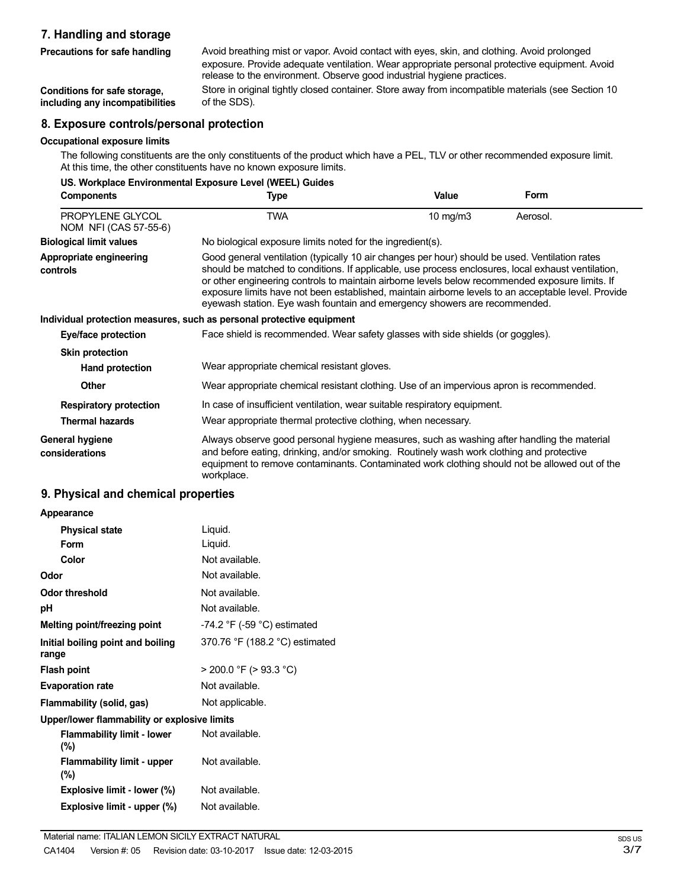## **7. Handling and storage**

**Precautions for safe handling**

Avoid breathing mist or vapor. Avoid contact with eyes, skin, and clothing. Avoid prolonged exposure. Provide adequate ventilation. Wear appropriate personal protective equipment. Avoid release to the environment. Observe good industrial hygiene practices. Store in original tightly closed container. Store away from incompatible materials (see Section 10

**Conditions for safe storage, including any incompatibilities**

# of the SDS).

#### **8. Exposure controls/personal protection**

#### **Occupational exposure limits**

The following constituents are the only constituents of the product which have a PEL, TLV or other recommended exposure limit. At this time, the other constituents have no known exposure limits.

| US. Workplace Environmental Exposure Level (WEEL) Guides |                                                                                                                                                                                                                                                                                                                                                                                                                                                                                             |          |          |
|----------------------------------------------------------|---------------------------------------------------------------------------------------------------------------------------------------------------------------------------------------------------------------------------------------------------------------------------------------------------------------------------------------------------------------------------------------------------------------------------------------------------------------------------------------------|----------|----------|
| <b>Components</b>                                        | Type                                                                                                                                                                                                                                                                                                                                                                                                                                                                                        | Value    | Form     |
| PROPYLENE GLYCOL<br>NOM NFI (CAS 57-55-6)                | <b>TWA</b>                                                                                                                                                                                                                                                                                                                                                                                                                                                                                  | 10 mg/m3 | Aerosol. |
| <b>Biological limit values</b>                           | No biological exposure limits noted for the ingredient(s).                                                                                                                                                                                                                                                                                                                                                                                                                                  |          |          |
| Appropriate engineering<br>controls                      | Good general ventilation (typically 10 air changes per hour) should be used. Ventilation rates<br>should be matched to conditions. If applicable, use process enclosures, local exhaust ventilation,<br>or other engineering controls to maintain airborne levels below recommended exposure limits. If<br>exposure limits have not been established, maintain airborne levels to an acceptable level. Provide<br>eyewash station. Eye wash fountain and emergency showers are recommended. |          |          |
|                                                          | Individual protection measures, such as personal protective equipment                                                                                                                                                                                                                                                                                                                                                                                                                       |          |          |
| Eye/face protection                                      | Face shield is recommended. Wear safety glasses with side shields (or goggles).                                                                                                                                                                                                                                                                                                                                                                                                             |          |          |
| <b>Skin protection</b>                                   |                                                                                                                                                                                                                                                                                                                                                                                                                                                                                             |          |          |
| <b>Hand protection</b>                                   | Wear appropriate chemical resistant gloves.                                                                                                                                                                                                                                                                                                                                                                                                                                                 |          |          |
| <b>Other</b>                                             | Wear appropriate chemical resistant clothing. Use of an impervious apron is recommended.                                                                                                                                                                                                                                                                                                                                                                                                    |          |          |
| <b>Respiratory protection</b>                            | In case of insufficient ventilation, wear suitable respiratory equipment.                                                                                                                                                                                                                                                                                                                                                                                                                   |          |          |
| <b>Thermal hazards</b>                                   | Wear appropriate thermal protective clothing, when necessary.                                                                                                                                                                                                                                                                                                                                                                                                                               |          |          |
| General hygiene<br>considerations                        | Always observe good personal hygiene measures, such as washing after handling the material<br>and before eating, drinking, and/or smoking. Routinely wash work clothing and protective<br>equipment to remove contaminants. Contaminated work clothing should not be allowed out of the<br>workplace.                                                                                                                                                                                       |          |          |

## **9. Physical and chemical properties**

| Appearance                                 |                                              |                                               |
|--------------------------------------------|----------------------------------------------|-----------------------------------------------|
| <b>Physical state</b>                      |                                              | Liquid.                                       |
| Form                                       |                                              | Liquid.                                       |
| Color                                      |                                              | Not available.                                |
| Odor                                       |                                              | Not available.                                |
| <b>Odor threshold</b>                      |                                              | Not available.                                |
| рH                                         |                                              | Not available.                                |
| Melting point/freezing point               |                                              | -74.2 $\degree$ F (-59 $\degree$ C) estimated |
| Initial boiling point and boiling<br>range |                                              | 370.76 °F (188.2 °C) estimated                |
| <b>Flash point</b>                         |                                              | > 200.0 °F (> 93.3 °C)                        |
| <b>Evaporation rate</b>                    |                                              | Not available.                                |
| Flammability (solid, gas)                  |                                              | Not applicable.                               |
|                                            | Upper/lower flammability or explosive limits |                                               |
| $(\%)$                                     | <b>Flammability limit - lower</b>            | Not available.                                |
| $(\%)$                                     | <b>Flammability limit - upper</b>            | Not available.                                |
|                                            | <b>Explosive limit - lower (%)</b>           | Not available.                                |
|                                            | Explosive limit - upper (%)                  | Not available.                                |
|                                            |                                              |                                               |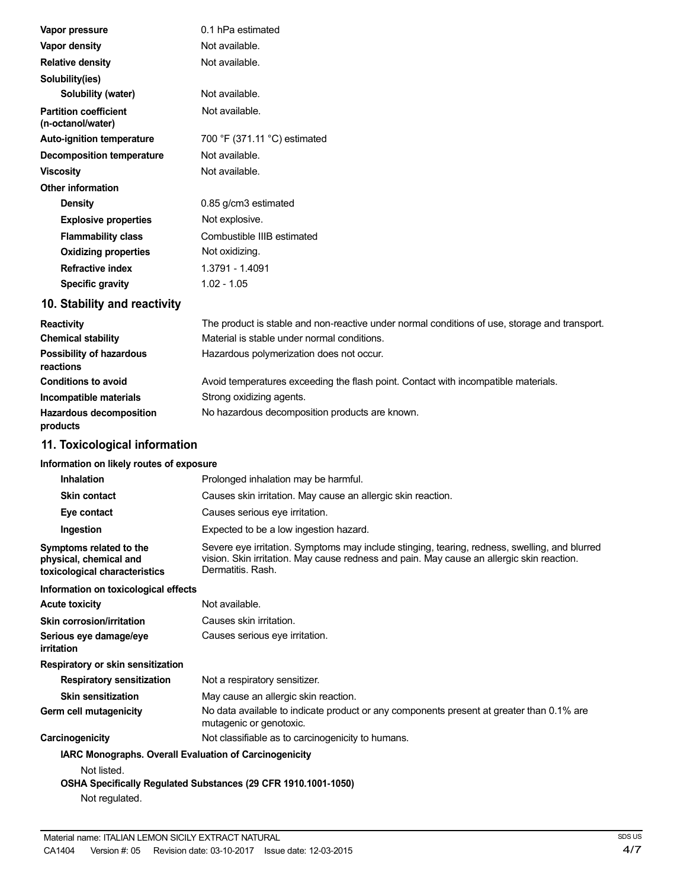| Vapor pressure                                                                                                                                                                                                                              | 0.1 hPa estimated            |
|---------------------------------------------------------------------------------------------------------------------------------------------------------------------------------------------------------------------------------------------|------------------------------|
| Vapor density                                                                                                                                                                                                                               | Not available.               |
| <b>Relative density</b>                                                                                                                                                                                                                     | Not available.               |
| Solubility(ies)                                                                                                                                                                                                                             |                              |
| Solubility (water)                                                                                                                                                                                                                          | Not available.               |
| <b>Partition coefficient</b><br>(n-octanol/water)                                                                                                                                                                                           | Not available.               |
| <b>Auto-ignition temperature</b>                                                                                                                                                                                                            | 700 °F (371.11 °C) estimated |
| Decomposition temperature                                                                                                                                                                                                                   | Not available.               |
| <b>Viscosity</b>                                                                                                                                                                                                                            | Not available.               |
| <b>Other information</b>                                                                                                                                                                                                                    |                              |
| <b>Density</b>                                                                                                                                                                                                                              | 0.85 g/cm3 estimated         |
| <b>Explosive properties</b>                                                                                                                                                                                                                 | Not explosive.               |
| <b>Flammability class</b>                                                                                                                                                                                                                   | Combustible IIIB estimated   |
| <b>Oxidizing properties</b>                                                                                                                                                                                                                 | Not oxidizing.               |
| <b>Refractive index</b>                                                                                                                                                                                                                     | 1.3791 - 1.4091              |
| <b>Specific gravity</b>                                                                                                                                                                                                                     | $1.02 - 1.05$                |
| $\overline{AB}$ $\overline{BA}$ . The second contract of the second second second second second second second second second second second second second second second second second second second second second second second second second |                              |

## **10. Stability and reactivity**

| <b>Reactivity</b>                            | The product is stable and non-reactive under normal conditions of use, storage and transport. |
|----------------------------------------------|-----------------------------------------------------------------------------------------------|
| <b>Chemical stability</b>                    | Material is stable under normal conditions.                                                   |
| <b>Possibility of hazardous</b><br>reactions | Hazardous polymerization does not occur.                                                      |
| <b>Conditions to avoid</b>                   | Avoid temperatures exceeding the flash point. Contact with incompatible materials.            |
| Incompatible materials                       | Strong oxidizing agents.                                                                      |
| <b>Hazardous decomposition</b><br>products   | No hazardous decomposition products are known.                                                |

## **11. Toxicological information**

#### **Information on likely routes of exposure**

| Inhalation                                                                         | Prolonged inhalation may be harmful.                                                                                                                                                                            |
|------------------------------------------------------------------------------------|-----------------------------------------------------------------------------------------------------------------------------------------------------------------------------------------------------------------|
| <b>Skin contact</b>                                                                | Causes skin irritation. May cause an allergic skin reaction.                                                                                                                                                    |
| Eye contact                                                                        | Causes serious eye irritation.                                                                                                                                                                                  |
| Ingestion                                                                          | Expected to be a low ingestion hazard.                                                                                                                                                                          |
| Symptoms related to the<br>physical, chemical and<br>toxicological characteristics | Severe eye irritation. Symptoms may include stinging, tearing, redness, swelling, and blurred<br>vision. Skin irritation. May cause redness and pain. May cause an allergic skin reaction.<br>Dermatitis, Rash. |
| Information on toxicological effects                                               |                                                                                                                                                                                                                 |
| <b>Acute toxicity</b>                                                              | Not available.                                                                                                                                                                                                  |
| Skin corrosion/irritation                                                          | Causes skin irritation.                                                                                                                                                                                         |
| Serious eye damage/eye<br>irritation                                               | Causes serious eye irritation.                                                                                                                                                                                  |
| Respiratory or skin sensitization                                                  |                                                                                                                                                                                                                 |
| <b>Respiratory sensitization</b>                                                   | Not a respiratory sensitizer.                                                                                                                                                                                   |
| <b>Skin sensitization</b>                                                          | May cause an allergic skin reaction.                                                                                                                                                                            |
| Germ cell mutagenicity                                                             | No data available to indicate product or any components present at greater than 0.1% are<br>mutagenic or genotoxic.                                                                                             |
| Carcinogenicity                                                                    | Not classifiable as to carcinogenicity to humans.                                                                                                                                                               |
| <b>IARC Monographs. Overall Evaluation of Carcinogenicity</b>                      |                                                                                                                                                                                                                 |
| Not listed.                                                                        |                                                                                                                                                                                                                 |
|                                                                                    | OSHA Specifically Regulated Substances (29 CFR 1910.1001-1050)                                                                                                                                                  |
| Not regulated.                                                                     |                                                                                                                                                                                                                 |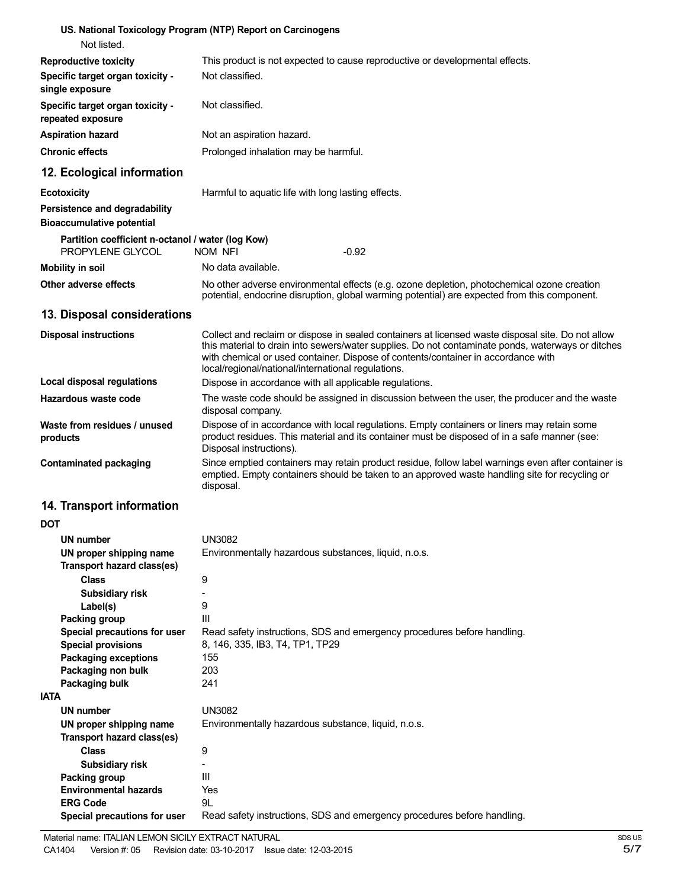| Not listed.                                                           | US. National Toxicology Program (NTP) Report on Carcinogens                                                                                                                                                                                                                                                                                       |
|-----------------------------------------------------------------------|---------------------------------------------------------------------------------------------------------------------------------------------------------------------------------------------------------------------------------------------------------------------------------------------------------------------------------------------------|
| <b>Reproductive toxicity</b>                                          | This product is not expected to cause reproductive or developmental effects.                                                                                                                                                                                                                                                                      |
| Specific target organ toxicity -<br>single exposure                   | Not classified.                                                                                                                                                                                                                                                                                                                                   |
| Specific target organ toxicity -<br>repeated exposure                 | Not classified.                                                                                                                                                                                                                                                                                                                                   |
| <b>Aspiration hazard</b>                                              | Not an aspiration hazard.                                                                                                                                                                                                                                                                                                                         |
| <b>Chronic effects</b>                                                | Prolonged inhalation may be harmful.                                                                                                                                                                                                                                                                                                              |
| 12. Ecological information                                            |                                                                                                                                                                                                                                                                                                                                                   |
| <b>Ecotoxicity</b>                                                    | Harmful to aquatic life with long lasting effects.                                                                                                                                                                                                                                                                                                |
| Persistence and degradability<br><b>Bioaccumulative potential</b>     |                                                                                                                                                                                                                                                                                                                                                   |
| Partition coefficient n-octanol / water (log Kow)<br>PROPYLENE GLYCOL | NOM NFI<br>$-0.92$                                                                                                                                                                                                                                                                                                                                |
| <b>Mobility in soil</b>                                               | No data available.                                                                                                                                                                                                                                                                                                                                |
| Other adverse effects                                                 | No other adverse environmental effects (e.g. ozone depletion, photochemical ozone creation<br>potential, endocrine disruption, global warming potential) are expected from this component.                                                                                                                                                        |
| 13. Disposal considerations                                           |                                                                                                                                                                                                                                                                                                                                                   |
| <b>Disposal instructions</b>                                          | Collect and reclaim or dispose in sealed containers at licensed waste disposal site. Do not allow<br>this material to drain into sewers/water supplies. Do not contaminate ponds, waterways or ditches<br>with chemical or used container. Dispose of contents/container in accordance with<br>local/regional/national/international regulations. |
| <b>Local disposal regulations</b>                                     | Dispose in accordance with all applicable regulations.                                                                                                                                                                                                                                                                                            |
| Hazardous waste code                                                  | The waste code should be assigned in discussion between the user, the producer and the waste<br>disposal company.                                                                                                                                                                                                                                 |
| Waste from residues / unused<br>products                              | Dispose of in accordance with local regulations. Empty containers or liners may retain some<br>product residues. This material and its container must be disposed of in a safe manner (see:<br>Disposal instructions).                                                                                                                            |
| <b>Contaminated packaging</b>                                         | Since emptied containers may retain product residue, follow label warnings even after container is<br>emptied. Empty containers should be taken to an approved waste handling site for recycling or<br>disposal.                                                                                                                                  |
| 14. Transport information                                             |                                                                                                                                                                                                                                                                                                                                                   |
| <b>DOT</b>                                                            |                                                                                                                                                                                                                                                                                                                                                   |
| <b>UN number</b>                                                      | <b>UN3082</b>                                                                                                                                                                                                                                                                                                                                     |
| UN proper shipping name<br>Transport hazard class(es)                 | Environmentally hazardous substances, liquid, n.o.s.                                                                                                                                                                                                                                                                                              |
| <b>Class</b>                                                          | 9                                                                                                                                                                                                                                                                                                                                                 |
| <b>Subsidiary risk</b><br>Label(s)                                    | $\overline{\phantom{a}}$<br>9                                                                                                                                                                                                                                                                                                                     |
| Packing group                                                         | Ш                                                                                                                                                                                                                                                                                                                                                 |
| Special precautions for user<br><b>Special provisions</b>             | Read safety instructions, SDS and emergency procedures before handling.<br>8, 146, 335, IB3, T4, TP1, TP29                                                                                                                                                                                                                                        |
| <b>Packaging exceptions</b>                                           | 155                                                                                                                                                                                                                                                                                                                                               |
| Packaging non bulk                                                    | 203                                                                                                                                                                                                                                                                                                                                               |
| Packaging bulk                                                        | 241                                                                                                                                                                                                                                                                                                                                               |
| <b>IATA</b>                                                           |                                                                                                                                                                                                                                                                                                                                                   |
| UN number<br>UN proper shipping name                                  | <b>UN3082</b><br>Environmentally hazardous substance, liquid, n.o.s.                                                                                                                                                                                                                                                                              |
| Transport hazard class(es)<br><b>Class</b>                            | 9                                                                                                                                                                                                                                                                                                                                                 |
| <b>Subsidiary risk</b>                                                |                                                                                                                                                                                                                                                                                                                                                   |
| Packing group                                                         | III                                                                                                                                                                                                                                                                                                                                               |
| <b>Environmental hazards</b>                                          | Yes                                                                                                                                                                                                                                                                                                                                               |
| <b>ERG Code</b>                                                       | 9L                                                                                                                                                                                                                                                                                                                                                |
| Special precautions for user                                          | Read safety instructions, SDS and emergency procedures before handling.                                                                                                                                                                                                                                                                           |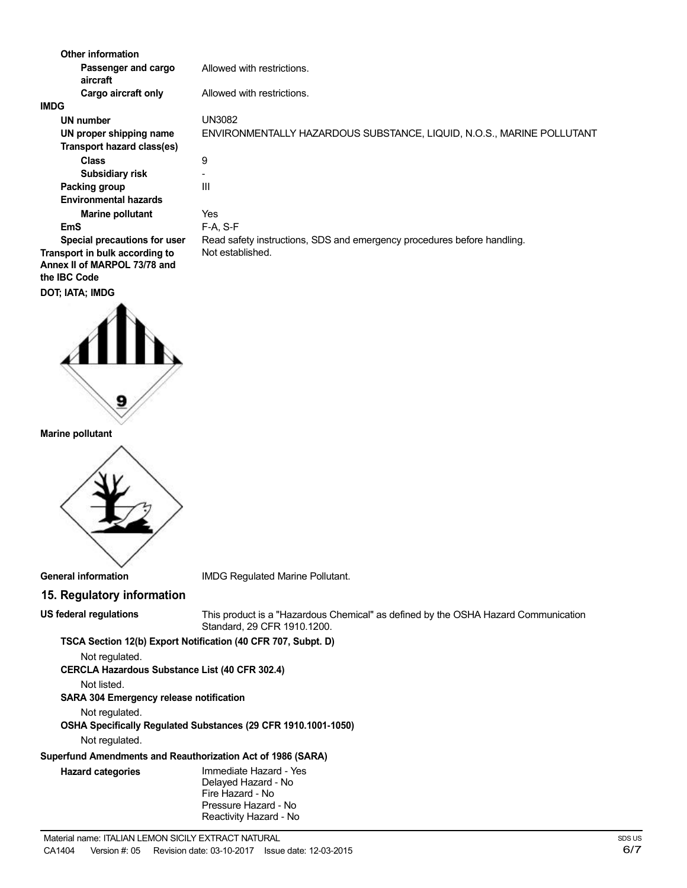| Passenger and cargo                                         | Allowed with restrictions.                                                                                        |
|-------------------------------------------------------------|-------------------------------------------------------------------------------------------------------------------|
| aircraft                                                    |                                                                                                                   |
| Cargo aircraft only<br><b>IMDG</b>                          | Allowed with restrictions.                                                                                        |
| <b>UN number</b>                                            | <b>UN3082</b>                                                                                                     |
| UN proper shipping name                                     | ENVIRONMENTALLY HAZARDOUS SUBSTANCE, LIQUID, N.O.S., MARINE POLLUTANT                                             |
| Transport hazard class(es)                                  |                                                                                                                   |
| <b>Class</b>                                                | 9                                                                                                                 |
| Subsidiary risk                                             |                                                                                                                   |
| Packing group                                               | $\ensuremath{\mathsf{III}}\xspace$                                                                                |
| <b>Environmental hazards</b>                                |                                                                                                                   |
| <b>Marine pollutant</b>                                     | Yes                                                                                                               |
| <b>EmS</b>                                                  | F-A, S-F                                                                                                          |
| Special precautions for user                                | Read safety instructions, SDS and emergency procedures before handling.                                           |
| Transport in bulk according to                              | Not established.                                                                                                  |
| Annex II of MARPOL 73/78 and                                |                                                                                                                   |
| the IBC Code                                                |                                                                                                                   |
| DOT; IATA; IMDG                                             |                                                                                                                   |
|                                                             |                                                                                                                   |
|                                                             |                                                                                                                   |
|                                                             |                                                                                                                   |
| <b>Marine pollutant</b>                                     |                                                                                                                   |
|                                                             |                                                                                                                   |
| <b>General information</b>                                  | <b>IMDG Regulated Marine Pollutant.</b>                                                                           |
| 15. Regulatory information                                  |                                                                                                                   |
|                                                             |                                                                                                                   |
| <b>US federal regulations</b>                               | This product is a "Hazardous Chemical" as defined by the OSHA Hazard Communication<br>Standard, 29 CFR 1910.1200. |
|                                                             | TSCA Section 12(b) Export Notification (40 CFR 707, Subpt. D)                                                     |
| Not regulated.                                              |                                                                                                                   |
| <b>CERCLA Hazardous Substance List (40 CFR 302.4)</b>       |                                                                                                                   |
| Not listed.<br>SARA 304 Emergency release notification      |                                                                                                                   |
| Not regulated.                                              |                                                                                                                   |
|                                                             | OSHA Specifically Regulated Substances (29 CFR 1910.1001-1050)                                                    |
| Not regulated.                                              |                                                                                                                   |
| Superfund Amendments and Reauthorization Act of 1986 (SARA) |                                                                                                                   |
| <b>Hazard categories</b>                                    | Immediate Hazard - Yes                                                                                            |
|                                                             | Delayed Hazard - No                                                                                               |
|                                                             | Fire Hazard - No<br>Pressure Hazard - No                                                                          |
|                                                             | Reactivity Hazard - No                                                                                            |
|                                                             |                                                                                                                   |
| Material name: ITALIAN LEMON SICILY EXTRACT NATURAL         | CA1404 Version #: 05 Revision date: 03-10-2017 Issue date: 12-03-2015                                             |

**Other information**